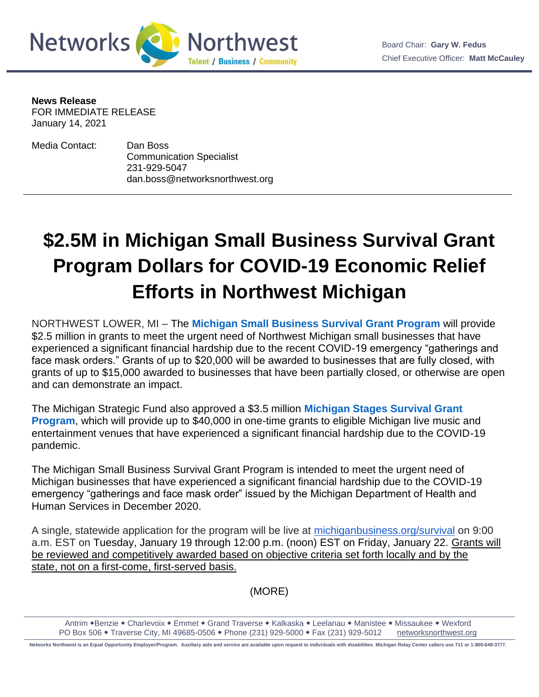

**News Release**

FOR IMMEDIATE RELEASE January 14, 2021

Media Contact: Dan Boss Communication Specialist 231-929-5047 dan.boss@networksnorthwest.org

## **\$2.5M in Michigan Small Business Survival Grant Program Dollars for COVID-19 Economic Relief Efforts in Northwest Michigan**

NORTHWEST LOWER, MI – The **[Michigan Small Business Survival Grant Program](http://link.mediaoutreach.meltwater.com/ls/click?upn=MlwSe-2BX1rhdudd9zAKz5RW2U63XXMtdIMJouo8PMxkX0MbwE78uohcPxXRTStW-2BuIxxr_iTo5Gaz4pU8lqN1VdYSYTW5HXW9DTuUTbx-2BmA3ijjhQiiJlMZfjSqEvKeCtfE-2BU3Uz-2Fc5TXziyUlVLCagQTvLL-2BcN4niys8t4p2uJeUhcXRRuklcVZcMvxF25ksMy-2FdAC935YU6sYMMdD92YieqiCSKaJZDAgxtELtYequ8CEBeK67KgFznXPFlZ9jSD-2BRVU2HMOiXdQHcDWSH2xQ5WhFFGUfY2sjH0wdkhWiM6s-2Ft7Kutg6MDa6kqYozN-2F6ba-2FDGIzFA1eNsGLauq-2BbxoZe56bAgewBcXYMKbJJUvoHE9fFbG2ye5ODCum2KDeNHxawTHodIz4vuWYlDxGXVZQkiMgKaB0Z8rcWRAyj77rEavhJokhZbPQcRRfWVQXgJ5jN2sBZyq0MuqeToxjwP8VuJ1a-2BHw-2FMQa0XO4gNo4lXbUw-3D)** will provide \$2.5 million in grants to meet the urgent need of Northwest Michigan small businesses that have experienced a significant financial hardship due to the recent COVID-19 emergency "gatherings and face mask orders." Grants of up to \$20,000 will be awarded to businesses that are fully closed, with grants of up to \$15,000 awarded to businesses that have been partially closed, or otherwise are open and can demonstrate an impact.

The Michigan Strategic Fund also approved a \$3.5 million **[Michigan Stages Survival Grant](http://link.mediaoutreach.meltwater.com/ls/click?upn=MlwSe-2BX1rhdudd9zAKz5RW2U63XXMtdIMJouo8PMxkW7z3f3UfbY998zE-2FFahgrjW4AD_iTo5Gaz4pU8lqN1VdYSYTW5HXW9DTuUTbx-2BmA3ijjhQiiJlMZfjSqEvKeCtfE-2BU3Uz-2Fc5TXziyUlVLCagQTvLL-2BcN4niys8t4p2uJeUhcXRRuklcVZcMvxF25ksMy-2FdAC935YU6sYMMdD92YieqiCSKaJZDAgxtELtYequ8CEBeK67KgFznXPFlZ9jSD-2BRVU2HMOiXdQHcDWSH2xQ5WhFFGUfY2sjH0wdkhWiM6s-2Ft4Ssw-2FvjMDCxCa1-2B71KUZNhPuMvJL3m2yC37HPdLW77FYzgR5RoGwqy-2BTCB87h0BxWLbo4v6vECiCbPmK4dA7NqD5Bvmyu1tAo84ZDZ4vwaQ7MdP-2FI6PuWCI7zrXCT9gaAEZfhHGbWdK3zB6zv22QSmEgy0vVUmr6fIX1e8x8VCJoxQ4POerXWuZxEkhcRFEXo-3D)  [Program](http://link.mediaoutreach.meltwater.com/ls/click?upn=MlwSe-2BX1rhdudd9zAKz5RW2U63XXMtdIMJouo8PMxkW7z3f3UfbY998zE-2FFahgrjW4AD_iTo5Gaz4pU8lqN1VdYSYTW5HXW9DTuUTbx-2BmA3ijjhQiiJlMZfjSqEvKeCtfE-2BU3Uz-2Fc5TXziyUlVLCagQTvLL-2BcN4niys8t4p2uJeUhcXRRuklcVZcMvxF25ksMy-2FdAC935YU6sYMMdD92YieqiCSKaJZDAgxtELtYequ8CEBeK67KgFznXPFlZ9jSD-2BRVU2HMOiXdQHcDWSH2xQ5WhFFGUfY2sjH0wdkhWiM6s-2Ft4Ssw-2FvjMDCxCa1-2B71KUZNhPuMvJL3m2yC37HPdLW77FYzgR5RoGwqy-2BTCB87h0BxWLbo4v6vECiCbPmK4dA7NqD5Bvmyu1tAo84ZDZ4vwaQ7MdP-2FI6PuWCI7zrXCT9gaAEZfhHGbWdK3zB6zv22QSmEgy0vVUmr6fIX1e8x8VCJoxQ4POerXWuZxEkhcRFEXo-3D)**, which will provide up to \$40,000 in one-time grants to eligible Michigan live music and entertainment venues that have experienced a significant financial hardship due to the COVID-19 pandemic.

The Michigan Small Business Survival Grant Program is intended to meet the urgent need of Michigan businesses that have experienced a significant financial hardship due to the COVID-19 emergency "gatherings and face mask order" issued by the Michigan Department of Health and Human Services in December 2020.

A single, statewide application for the program will be live at [michiganbusiness.org/survival](http://michiganbusiness.org/survival) on 9:00 a.m. EST on Tuesday, January 19 through 12:00 p.m. (noon) EST on Friday, January 22. Grants will be reviewed and competitively awarded based on objective criteria set forth locally and by the state, not on a first-come, first-served basis.

(MORE)

Antrim .Benzie . Charlevoix . Emmet . Grand Traverse . Kalkaska . Leelanau . Manistee . Missaukee . Wexford PO Box 506 . Traverse City, MI 49685-0506 . Phone (231) 929-5000 . Fax (231) 929-5012 [networksnorthwest.org](http://www.nwm.org/)

**Networks Northwest is an Equal Opportunity Employer/Program. Auxiliary aids and service are available upon request to individuals with disabilities. Michigan Relay Center callers use 711 or 1-800-649-3777.**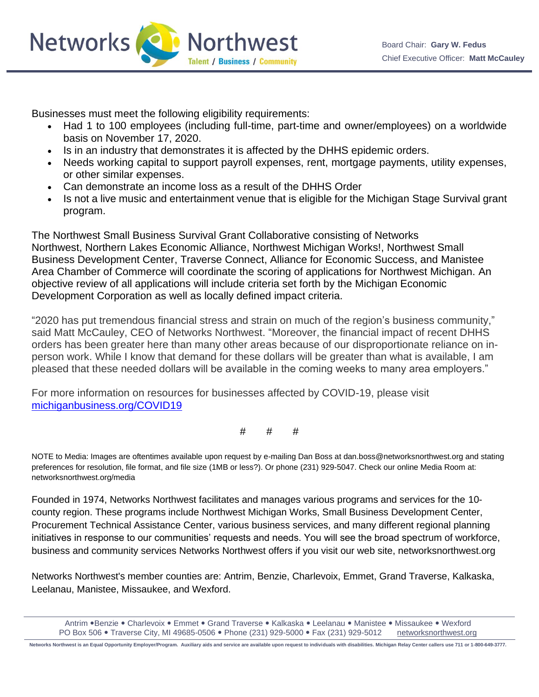

**Networks Northwest Talent / Business / Community** 

Businesses must meet the following eligibility requirements:

- Had 1 to 100 employees (including full-time, part-time and owner/employees) on a worldwide basis on November 17, 2020.
- Is in an industry that demonstrates it is affected by the DHHS epidemic orders.
- Needs working capital to support payroll expenses, rent, mortgage payments, utility expenses, or other similar expenses.
- Can demonstrate an income loss as a result of the DHHS Order
- Is not a live music and entertainment venue that is eligible for the Michigan Stage Survival grant program.

The Northwest Small Business Survival Grant Collaborative consisting of Networks Northwest, Northern Lakes Economic Alliance, Northwest Michigan Works!, Northwest Small Business Development Center, Traverse Connect, Alliance for Economic Success, and Manistee Area Chamber of Commerce will coordinate the scoring of applications for Northwest Michigan. An objective review of all applications will include criteria set forth by the Michigan Economic Development Corporation as well as locally defined impact criteria.

"2020 has put tremendous financial stress and strain on much of the region's business community," said Matt McCauley, CEO of Networks Northwest. "Moreover, the financial impact of recent DHHS orders has been greater here than many other areas because of our disproportionate reliance on inperson work. While I know that demand for these dollars will be greater than what is available, I am pleased that these needed dollars will be available in the coming weeks to many area employers."

For more information on resources for businesses affected by COVID-19, please visit [michiganbusiness.org/COVID19](http://michiganbusiness.org/COVID19)

# # #

NOTE to Media: Images are oftentimes available upon request by e-mailing Dan Boss at dan.boss@networksnorthwest.org and stating preferences for resolution, file format, and file size (1MB or less?). Or phone (231) 929-5047. Check our online Media Room at: networksnorthwest.org/media

Founded in 1974, Networks Northwest facilitates and manages various programs and services for the 10 county region. These programs include Northwest Michigan Works, Small Business Development Center, Procurement Technical Assistance Center, various business services, and many different regional planning initiatives in response to our communities' requests and needs. You will see the broad spectrum of workforce, business and community services Networks Northwest offers if you visit our web site, networksnorthwest.org

Networks Northwest's member counties are: Antrim, Benzie, Charlevoix, Emmet, Grand Traverse, Kalkaska, Leelanau, Manistee, Missaukee, and Wexford.

**Networks Northwest is an Equal Opportunity Employer/Program. Auxiliary aids and service are available upon request to individuals with disabilities. Michigan Relay Center callers use 711 or 1-800-649-3777.**